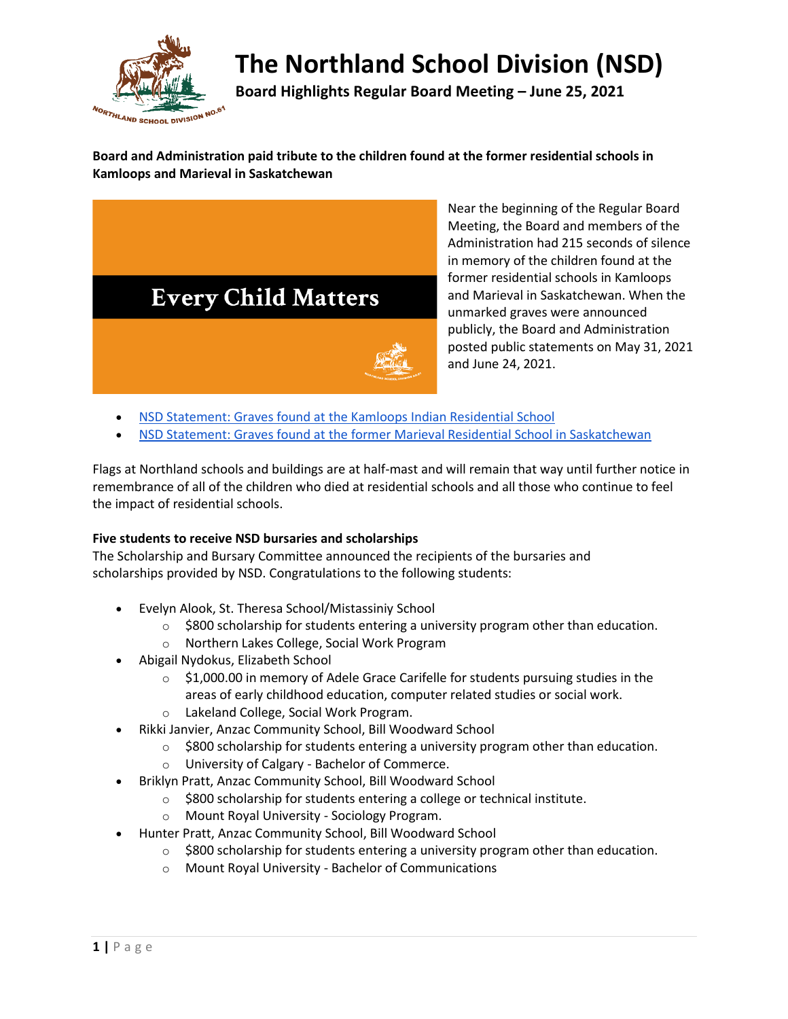

# **The Northland School Division (NSD)**

**Board Highlights Regular Board Meeting – June 25, 2021**

**Board and Administration paid tribute to the children found at the former residential schools in Kamloops and Marieval in Saskatchewan**



Near the beginning of the Regular Board Meeting, the Board and members of the Administration had 215 seconds of silence in memory of the children found at the former residential schools in Kamloops and Marieval in Saskatchewan. When the unmarked graves were announced publicly, the Board and Administration posted public statements on May 31, 2021 and June 24, 2021.

- [NSD Statement: Graves found at the Kamloops Indian Residential School](https://www.nsd61.ca/about-us/division-news/post/nsd-statement-graves-found-at-the-kamloops-indian-residential-school)
- [NSD Statement: Graves found at the former Marieval Residential School in Saskatchewan](https://www.nsd61.ca/about-us/division-news/post/nsd-statement-graves-found-at-the-former-marieval-residential-school-in-saskatchewan)

Flags at Northland schools and buildings are at half-mast and will remain that way until further notice in remembrance of all of the children who died at residential schools and all those who continue to feel the impact of residential schools.

#### **Five students to receive NSD bursaries and scholarships**

The Scholarship and Bursary Committee announced the recipients of the bursaries and scholarships provided by NSD. Congratulations to the following students:

- Evelyn Alook, St. Theresa School/Mistassiniy School
	- $\circ$  \$800 scholarship for students entering a university program other than education.
	- o Northern Lakes College, Social Work Program
- Abigail Nydokus, Elizabeth School
	- $\circ$  \$1,000.00 in memory of Adele Grace Carifelle for students pursuing studies in the areas of early childhood education, computer related studies or social work.
	- o Lakeland College, Social Work Program.
- Rikki Janvier, Anzac Community School, Bill Woodward School
	- $\circ$  \$800 scholarship for students entering a university program other than education.
	- o University of Calgary Bachelor of Commerce.
- Briklyn Pratt, Anzac Community School, Bill Woodward School
	- o \$800 scholarship for students entering a college or technical institute.
	- o Mount Royal University Sociology Program.
- Hunter Pratt, Anzac Community School, Bill Woodward School
	- $\circ$  \$800 scholarship for students entering a university program other than education.
	- o Mount Royal University Bachelor of Communications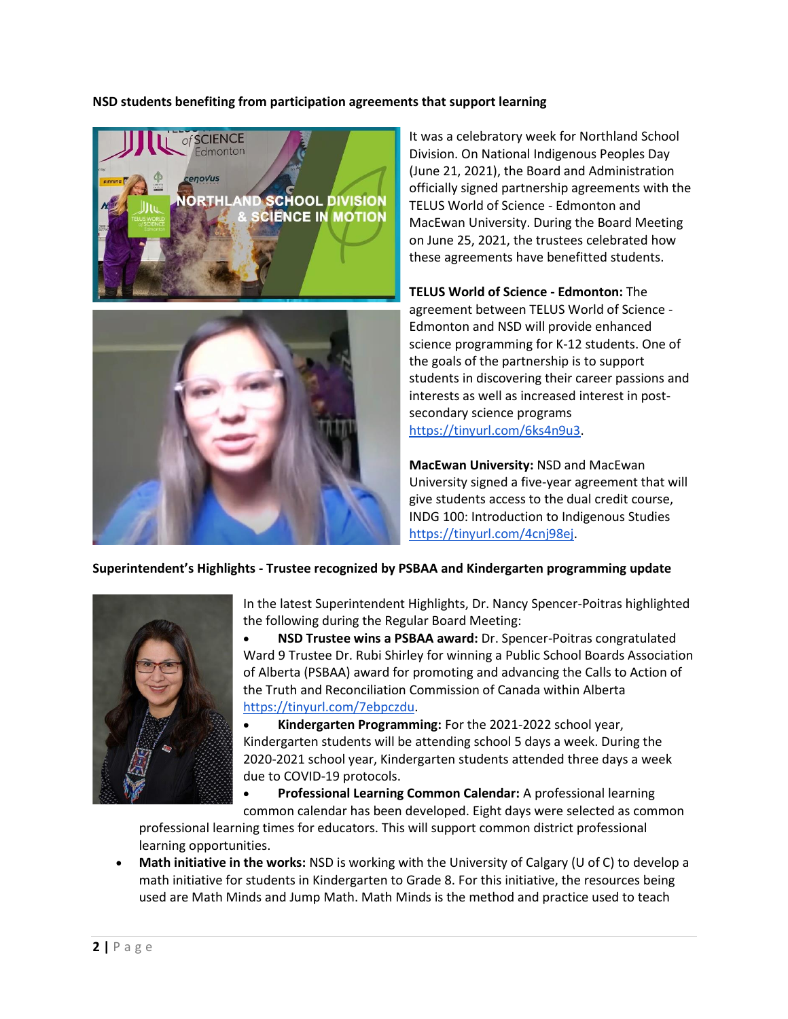#### **NSD students benefiting from participation agreements that support learning**



It was a celebratory week for Northland School Division. On National Indigenous Peoples Day (June 21, 2021), the Board and Administration officially signed partnership agreements with the TELUS World of Science - Edmonton and MacEwan University. During the Board Meeting on June 25, 2021, the trustees celebrated how these agreements have benefitted students.

**TELUS World of Science - Edmonton:** The agreement between TELUS World of Science - Edmonton and NSD will provide enhanced science programming for K-12 students. One of the goals of the partnership is to support students in discovering their career passions and interests as well as increased interest in postsecondary science programs [https://tinyurl.com/6ks4n9u3.](https://tinyurl.com/6ks4n9u3)

**MacEwan University:** NSD and MacEwan University signed a five-year agreement that will give students access to the dual credit course, INDG 100: Introduction to Indigenous Studies [https://tinyurl.com/4cnj98ej.](https://tinyurl.com/4cnj98ej)

#### **Superintendent's Highlights - Trustee recognized by PSBAA and Kindergarten programming update**



In the latest Superintendent Highlights, Dr. Nancy Spencer-Poitras highlighted the following during the Regular Board Meeting:

• **NSD Trustee wins a PSBAA award:** Dr. Spencer-Poitras congratulated Ward 9 Trustee Dr. Rubi Shirley for winning a Public School Boards Association of Alberta (PSBAA) award for promoting and advancing the Calls to Action of the Truth and Reconciliation Commission of Canada within Alberta [https://tinyurl.com/7ebpczdu.](https://tinyurl.com/7ebpczdu)

• **Kindergarten Programming:** For the 2021-2022 school year, Kindergarten students will be attending school 5 days a week. During the 2020-2021 school year, Kindergarten students attended three days a week due to COVID-19 protocols.

• **Professional Learning Common Calendar:** A professional learning common calendar has been developed. Eight days were selected as common

professional learning times for educators. This will support common district professional learning opportunities.

• **Math initiative in the works:** NSD is working with the University of Calgary (U of C) to develop a math initiative for students in Kindergarten to Grade 8. For this initiative, the resources being used are Math Minds and Jump Math. Math Minds is the method and practice used to teach